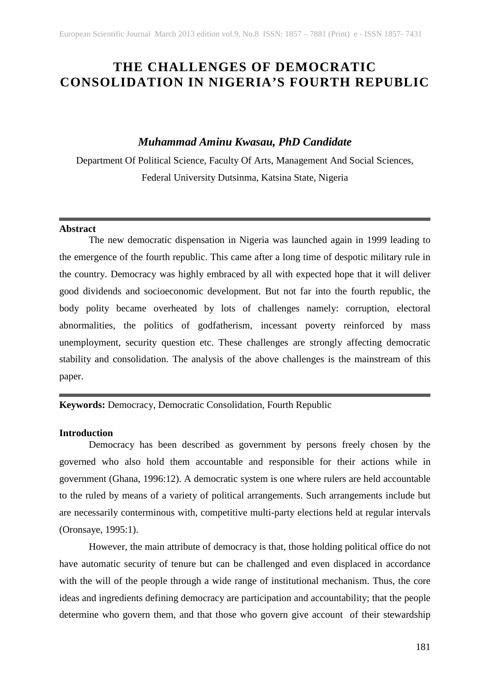# **THE CHALLENGES OF DEMOCRATIC CONSOLIDATION IN NIGERIA'S FOURTH REPUBLIC**

## *Muhammad Aminu Kwasau, PhD Candidate*

Department Of Political Science, Faculty Of Arts, Management And Social Sciences, Federal University Dutsinma, Katsina State, Nigeria

#### **Abstract**

The new democratic dispensation in Nigeria was launched again in 1999 leading to the emergence of the fourth republic. This came after a long time of despotic military rule in the country. Democracy was highly embraced by all with expected hope that it will deliver good dividends and socioeconomic development. But not far into the fourth republic, the body polity became overheated by lots of challenges namely: corruption, electoral abnormalities, the politics of godfatherism, incessant poverty reinforced by mass unemployment, security question etc. These challenges are strongly affecting democratic stability and consolidation. The analysis of the above challenges is the mainstream of this paper.

**Keywords:** Democracy, Democratic Consolidation, Fourth Republic

#### **Introduction**

Democracy has been described as government by persons freely chosen by the governed who also hold them accountable and responsible for their actions while in government (Ghana, 1996:12). A democratic system is one where rulers are held accountable to the ruled by means of a variety of political arrangements. Such arrangements include but are necessarily conterminous with, competitive multi-party elections held at regular intervals (Oronsaye, 1995:1).

However, the main attribute of democracy is that, those holding political office do not have automatic security of tenure but can be challenged and even displaced in accordance with the will of the people through a wide range of institutional mechanism. Thus, the core ideas and ingredients defining democracy are participation and accountability; that the people determine who govern them, and that those who govern give account of their stewardship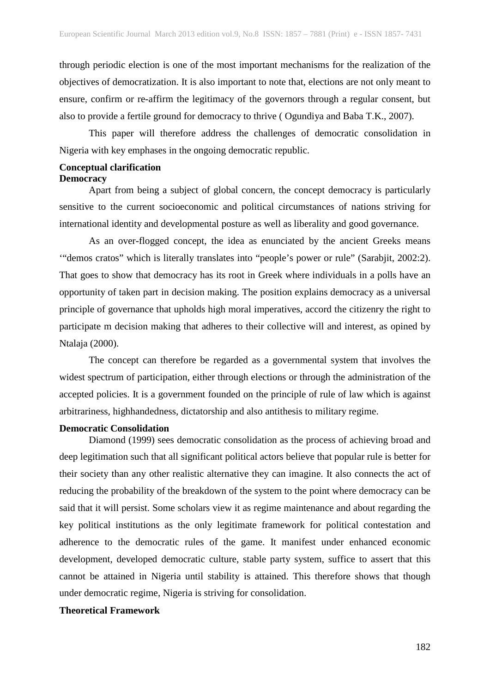through periodic election is one of the most important mechanisms for the realization of the objectives of democratization. It is also important to note that, elections are not only meant to ensure, confirm or re-affirm the legitimacy of the governors through a regular consent, but also to provide a fertile ground for democracy to thrive ( Ogundiya and Baba T.K., 2007).

This paper will therefore address the challenges of democratic consolidation in Nigeria with key emphases in the ongoing democratic republic.

# **Conceptual clarification**

#### **Democracy**

Apart from being a subject of global concern, the concept democracy is particularly sensitive to the current socioeconomic and political circumstances of nations striving for international identity and developmental posture as well as liberality and good governance.

As an over-flogged concept, the idea as enunciated by the ancient Greeks means '"demos cratos" which is literally translates into "people's power or rule" (Sarabjit, 2002:2). That goes to show that democracy has its root in Greek where individuals in a polls have an opportunity of taken part in decision making. The position explains democracy as a universal principle of governance that upholds high moral imperatives, accord the citizenry the right to participate m decision making that adheres to their collective will and interest, as opined by Ntalaja (2000).

The concept can therefore be regarded as a governmental system that involves the widest spectrum of participation, either through elections or through the administration of the accepted policies. It is a government founded on the principle of rule of law which is against arbitrariness, highhandedness, dictatorship and also antithesis to military regime.

#### **Democratic Consolidation**

Diamond (1999) sees democratic consolidation as the process of achieving broad and deep legitimation such that all significant political actors believe that popular rule is better for their society than any other realistic alternative they can imagine. It also connects the act of reducing the probability of the breakdown of the system to the point where democracy can be said that it will persist. Some scholars view it as regime maintenance and about regarding the key political institutions as the only legitimate framework for political contestation and adherence to the democratic rules of the game. It manifest under enhanced economic development, developed democratic culture, stable party system, suffice to assert that this cannot be attained in Nigeria until stability is attained. This therefore shows that though under democratic regime, Nigeria is striving for consolidation.

#### **Theoretical Framework**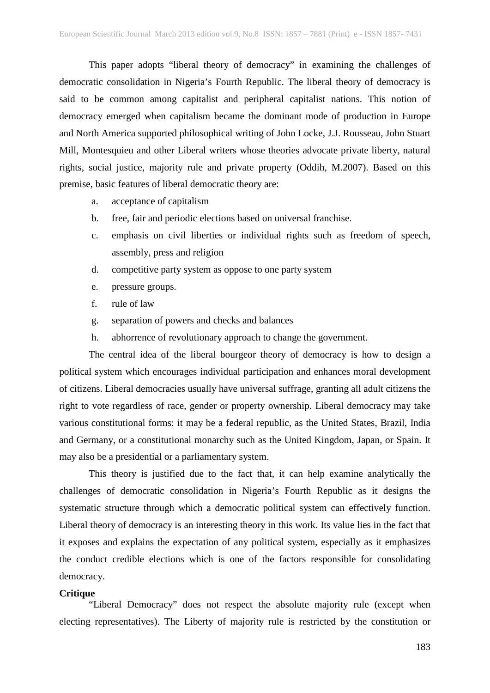This paper adopts "liberal theory of democracy" in examining the challenges of democratic consolidation in Nigeria's Fourth Republic. The liberal theory of democracy is said to be common among capitalist and peripheral capitalist nations. This notion of democracy emerged when capitalism became the dominant mode of production in Europe and North America supported philosophical writing of John Locke, J.J. Rousseau, John Stuart Mill, Montesquieu and other Liberal writers whose theories advocate private liberty, natural rights, social justice, majority rule and private property (Oddih, M.2007). Based on this premise, basic features of liberal democratic theory are:

a. acceptance of capitalism

- b. free, fair and periodic elections based on universal franchise.
- c. emphasis on civil liberties or individual rights such as freedom of speech, assembly, press and religion
- d. competitive party system as oppose to one party system
- e. pressure groups.
- f. rule of law
- g. separation of powers and checks and balances
- h. abhorrence of revolutionary approach to change the government.

The central idea of the liberal bourgeor theory of democracy is how to design a political system which encourages individual participation and enhances moral development of citizens. Liberal democracies usually have universal suffrage, granting all adult citizens the right to vote regardless of race, gender or property ownership. Liberal democracy may take various constitutional forms: it may be a federal republic, as the United States, Brazil, India and Germany, or a constitutional monarchy such as the United Kingdom, Japan, or Spain. It may also be a presidential or a parliamentary system.

This theory is justified due to the fact that, it can help examine analytically the challenges of democratic consolidation in Nigeria's Fourth Republic as it designs the systematic structure through which a democratic political system can effectively function. Liberal theory of democracy is an interesting theory in this work. Its value lies in the fact that it exposes and explains the expectation of any political system, especially as it emphasizes the conduct credible elections which is one of the factors responsible for consolidating democracy.

#### **Critique**

"Liberal Democracy" does not respect the absolute majority rule (except when electing representatives). The Liberty of majority rule is restricted by the constitution or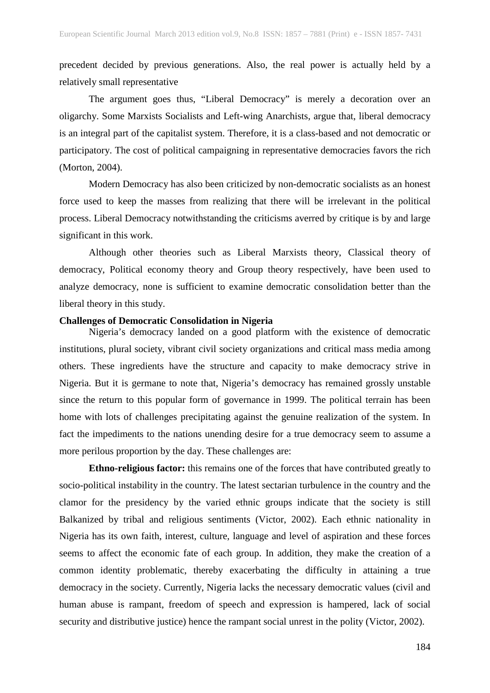precedent decided by previous generations. Also, the real power is actually held by a relatively small representative

The argument goes thus, "Liberal Democracy" is merely a decoration over an oligarchy. Some Marxists Socialists and Left-wing Anarchists, argue that, liberal democracy is an integral part of the capitalist system. Therefore, it is a class-based and not democratic or participatory. The cost of political campaigning in representative democracies favors the rich (Morton, 2004).

Modern Democracy has also been criticized by non-democratic socialists as an honest force used to keep the masses from realizing that there will be irrelevant in the political process. Liberal Democracy notwithstanding the criticisms averred by critique is by and large significant in this work.

Although other theories such as Liberal Marxists theory, Classical theory of democracy, Political economy theory and Group theory respectively, have been used to analyze democracy, none is sufficient to examine democratic consolidation better than the liberal theory in this study.

#### **Challenges of Democratic Consolidation in Nigeria**

Nigeria's democracy landed on a good platform with the existence of democratic institutions, plural society, vibrant civil society organizations and critical mass media among others. These ingredients have the structure and capacity to make democracy strive in Nigeria. But it is germane to note that, Nigeria's democracy has remained grossly unstable since the return to this popular form of governance in 1999. The political terrain has been home with lots of challenges precipitating against the genuine realization of the system. In fact the impediments to the nations unending desire for a true democracy seem to assume a more perilous proportion by the day. These challenges are:

**Ethno-religious factor:** this remains one of the forces that have contributed greatly to socio-political instability in the country. The latest sectarian turbulence in the country and the clamor for the presidency by the varied ethnic groups indicate that the society is still Balkanized by tribal and religious sentiments (Victor, 2002). Each ethnic nationality in Nigeria has its own faith, interest, culture, language and level of aspiration and these forces seems to affect the economic fate of each group. In addition, they make the creation of a common identity problematic, thereby exacerbating the difficulty in attaining a true democracy in the society. Currently, Nigeria lacks the necessary democratic values (civil and human abuse is rampant, freedom of speech and expression is hampered, lack of social security and distributive justice) hence the rampant social unrest in the polity (Victor, 2002).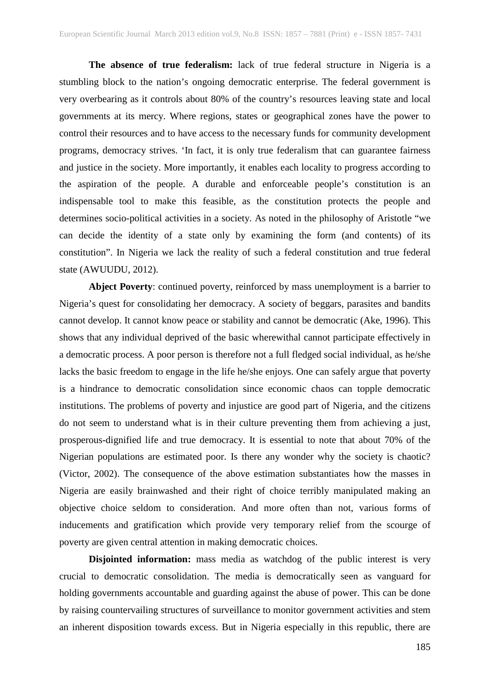**The absence of true federalism:** lack of true federal structure in Nigeria is a stumbling block to the nation's ongoing democratic enterprise. The federal government is very overbearing as it controls about 80% of the country's resources leaving state and local governments at its mercy. Where regions, states or geographical zones have the power to control their resources and to have access to the necessary funds for community development programs, democracy strives. 'In fact, it is only true federalism that can guarantee fairness and justice in the society. More importantly, it enables each locality to progress according to the aspiration of the people. A durable and enforceable people's constitution is an indispensable tool to make this feasible, as the constitution protects the people and determines socio-political activities in a society. As noted in the philosophy of Aristotle "we can decide the identity of a state only by examining the form (and contents) of its constitution". In Nigeria we lack the reality of such a federal constitution and true federal state (AWUUDU, 2012).

**Abject Poverty**: continued poverty, reinforced by mass unemployment is a barrier to Nigeria's quest for consolidating her democracy. A society of beggars, parasites and bandits cannot develop. It cannot know peace or stability and cannot be democratic (Ake, 1996). This shows that any individual deprived of the basic wherewithal cannot participate effectively in a democratic process. A poor person is therefore not a full fledged social individual, as he/she lacks the basic freedom to engage in the life he/she enjoys. One can safely argue that poverty is a hindrance to democratic consolidation since economic chaos can topple democratic institutions. The problems of poverty and injustice are good part of Nigeria, and the citizens do not seem to understand what is in their culture preventing them from achieving a just, prosperous-dignified life and true democracy. It is essential to note that about 70% of the Nigerian populations are estimated poor. Is there any wonder why the society is chaotic? (Victor, 2002). The consequence of the above estimation substantiates how the masses in Nigeria are easily brainwashed and their right of choice terribly manipulated making an objective choice seldom to consideration. And more often than not, various forms of inducements and gratification which provide very temporary relief from the scourge of poverty are given central attention in making democratic choices.

**Disjointed information:** mass media as watchdog of the public interest is very crucial to democratic consolidation. The media is democratically seen as vanguard for holding governments accountable and guarding against the abuse of power. This can be done by raising countervailing structures of surveillance to monitor government activities and stem an inherent disposition towards excess. But in Nigeria especially in this republic, there are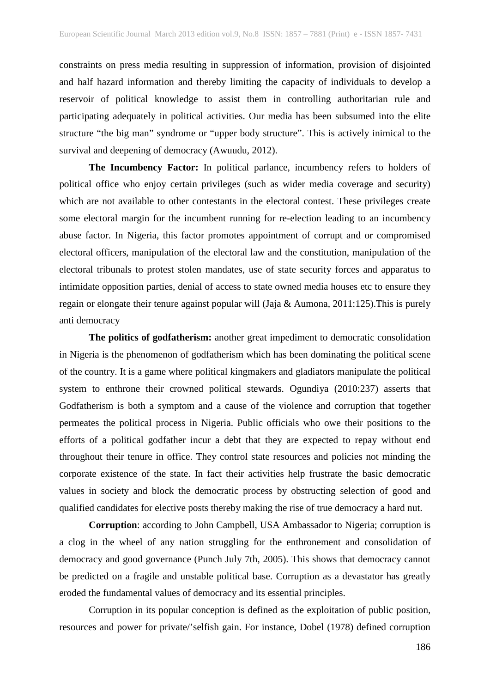constraints on press media resulting in suppression of information, provision of disjointed and half hazard information and thereby limiting the capacity of individuals to develop a reservoir of political knowledge to assist them in controlling authoritarian rule and participating adequately in political activities. Our media has been subsumed into the elite structure "the big man" syndrome or "upper body structure". This is actively inimical to the survival and deepening of democracy (Awuudu, 2012).

**The Incumbency Factor:** In political parlance, incumbency refers to holders of political office who enjoy certain privileges (such as wider media coverage and security) which are not available to other contestants in the electoral contest. These privileges create some electoral margin for the incumbent running for re-election leading to an incumbency abuse factor. In Nigeria, this factor promotes appointment of corrupt and or compromised electoral officers, manipulation of the electoral law and the constitution, manipulation of the electoral tribunals to protest stolen mandates, use of state security forces and apparatus to intimidate opposition parties, denial of access to state owned media houses etc to ensure they regain or elongate their tenure against popular will (Jaja & Aumona, 2011:125).This is purely anti democracy

**The politics of godfatherism:** another great impediment to democratic consolidation in Nigeria is the phenomenon of godfatherism which has been dominating the political scene of the country. It is a game where political kingmakers and gladiators manipulate the political system to enthrone their crowned political stewards. Ogundiya (2010:237) asserts that Godfatherism is both a symptom and a cause of the violence and corruption that together permeates the political process in Nigeria. Public officials who owe their positions to the efforts of a political godfather incur a debt that they are expected to repay without end throughout their tenure in office. They control state resources and policies not minding the corporate existence of the state. In fact their activities help frustrate the basic democratic values in society and block the democratic process by obstructing selection of good and qualified candidates for elective posts thereby making the rise of true democracy a hard nut.

**Corruption**: according to John Campbell, USA Ambassador to Nigeria; corruption is a clog in the wheel of any nation struggling for the enthronement and consolidation of democracy and good governance (Punch July 7th, 2005). This shows that democracy cannot be predicted on a fragile and unstable political base. Corruption as a devastator has greatly eroded the fundamental values of democracy and its essential principles.

Corruption in its popular conception is defined as the exploitation of public position, resources and power for private/'selfish gain. For instance, Dobel (1978) defined corruption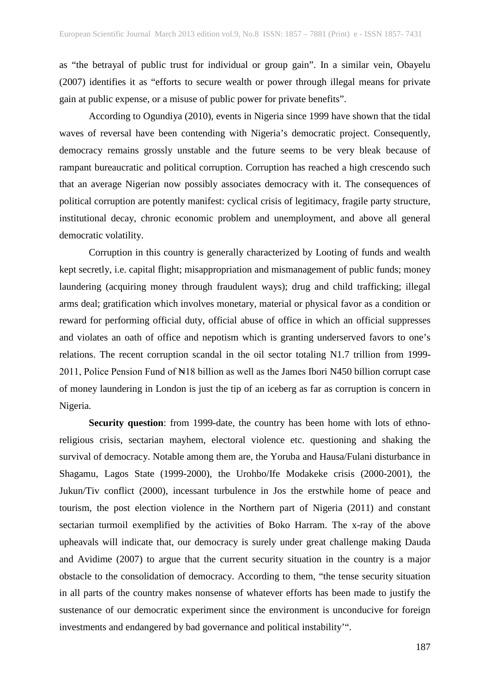as "the betrayal of public trust for individual or group gain". In a similar vein, Obayelu (2007) identifies it as "efforts to secure wealth or power through illegal means for private gain at public expense, or a misuse of public power for private benefits".

According to Ogundiya (2010), events in Nigeria since 1999 have shown that the tidal waves of reversal have been contending with Nigeria's democratic project. Consequently, democracy remains grossly unstable and the future seems to be very bleak because of rampant bureaucratic and political corruption. Corruption has reached a high crescendo such that an average Nigerian now possibly associates democracy with it. The consequences of political corruption are potently manifest: cyclical crisis of legitimacy, fragile party structure, institutional decay, chronic economic problem and unemployment, and above all general democratic volatility.

Corruption in this country is generally characterized by Looting of funds and wealth kept secretly, i.e. capital flight; misappropriation and mismanagement of public funds; money laundering (acquiring money through fraudulent ways); drug and child trafficking; illegal arms deal; gratification which involves monetary, material or physical favor as a condition or reward for performing official duty, official abuse of office in which an official suppresses and violates an oath of office and nepotism which is granting underserved favors to one's relations. The recent corruption scandal in the oil sector totaling N1.7 trillion from 1999- 2011, Police Pension Fund of ₦18 billion as well as the James Ibori N450 billion corrupt case of money laundering in London is just the tip of an iceberg as far as corruption is concern in Nigeria.

**Security question**: from 1999-date, the country has been home with lots of ethnoreligious crisis, sectarian mayhem, electoral violence etc. questioning and shaking the survival of democracy. Notable among them are, the Yoruba and Hausa/Fulani disturbance in Shagamu, Lagos State (1999-2000), the Urohbo/Ife Modakeke crisis (2000-2001), the Jukun/Tiv conflict (2000), incessant turbulence in Jos the erstwhile home of peace and tourism, the post election violence in the Northern part of Nigeria (2011) and constant sectarian turmoil exemplified by the activities of Boko Harram. The x-ray of the above upheavals will indicate that, our democracy is surely under great challenge making Dauda and Avidime (2007) to argue that the current security situation in the country is a major obstacle to the consolidation of democracy. According to them, "the tense security situation in all parts of the country makes nonsense of whatever efforts has been made to justify the sustenance of our democratic experiment since the environment is unconducive for foreign investments and endangered by bad governance and political instability'".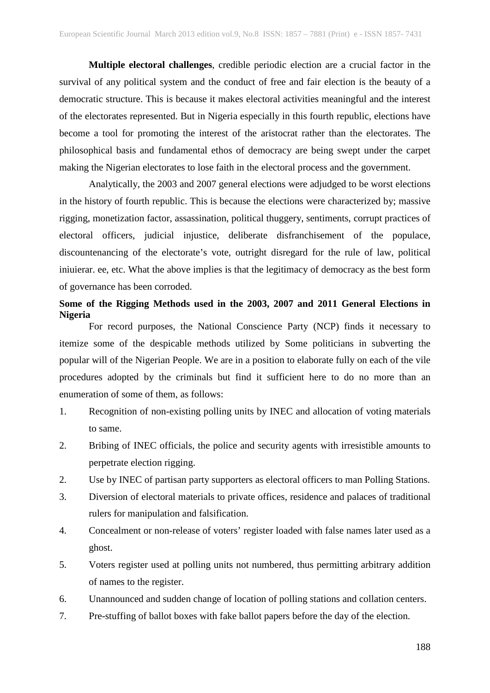**Multiple electoral challenges**, credible periodic election are a crucial factor in the survival of any political system and the conduct of free and fair election is the beauty of a democratic structure. This is because it makes electoral activities meaningful and the interest of the electorates represented. But in Nigeria especially in this fourth republic, elections have become a tool for promoting the interest of the aristocrat rather than the electorates. The philosophical basis and fundamental ethos of democracy are being swept under the carpet making the Nigerian electorates to lose faith in the electoral process and the government.

Analytically, the 2003 and 2007 general elections were adjudged to be worst elections in the history of fourth republic. This is because the elections were characterized by; massive rigging, monetization factor, assassination, political thuggery, sentiments, corrupt practices of electoral officers, judicial injustice, deliberate disfranchisement of the populace, discountenancing of the electorate's vote, outright disregard for the rule of law, political iniuierar. ee, etc. What the above implies is that the legitimacy of democracy as the best form of governance has been corroded.

## **Some of the Rigging Methods used in the 2003, 2007 and 2011 General Elections in Nigeria**

For record purposes, the National Conscience Party (NCP) finds it necessary to itemize some of the despicable methods utilized by Some politicians in subverting the popular will of the Nigerian People. We are in a position to elaborate fully on each of the vile procedures adopted by the criminals but find it sufficient here to do no more than an enumeration of some of them, as follows:

- 1. Recognition of non-existing polling units by INEC and allocation of voting materials to same.
- 2. Bribing of INEC officials, the police and security agents with irresistible amounts to perpetrate election rigging.
- 2. Use by INEC of partisan party supporters as electoral officers to man Polling Stations.
- 3. Diversion of electoral materials to private offices, residence and palaces of traditional rulers for manipulation and falsification.
- 4. Concealment or non-release of voters' register loaded with false names later used as a ghost.
- 5. Voters register used at polling units not numbered, thus permitting arbitrary addition of names to the register.
- 6. Unannounced and sudden change of location of polling stations and collation centers.
- 7. Pre-stuffing of ballot boxes with fake ballot papers before the day of the election.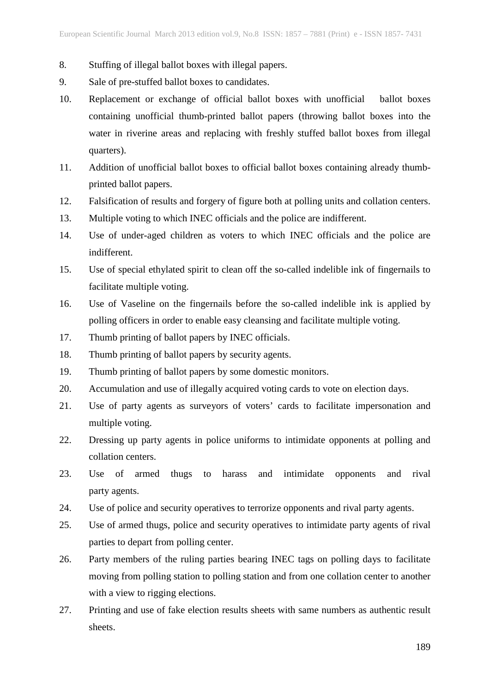- 8. Stuffing of illegal ballot boxes with illegal papers.
- 9. Sale of pre-stuffed ballot boxes to candidates.
- 10. Replacement or exchange of official ballot boxes with unofficial ballot boxes containing unofficial thumb-printed ballot papers (throwing ballot boxes into the water in riverine areas and replacing with freshly stuffed ballot boxes from illegal quarters).
- 11. Addition of unofficial ballot boxes to official ballot boxes containing already thumbprinted ballot papers.
- 12. Falsification of results and forgery of figure both at polling units and collation centers.
- 13. Multiple voting to which INEC officials and the police are indifferent.
- 14. Use of under-aged children as voters to which INEC officials and the police are indifferent.
- 15. Use of special ethylated spirit to clean off the so-called indelible ink of fingernails to facilitate multiple voting.
- 16. Use of Vaseline on the fingernails before the so-called indelible ink is applied by polling officers in order to enable easy cleansing and facilitate multiple voting.
- 17. Thumb printing of ballot papers by INEC officials.
- 18. Thumb printing of ballot papers by security agents.
- 19. Thumb printing of ballot papers by some domestic monitors.
- 20. Accumulation and use of illegally acquired voting cards to vote on election days.
- 21. Use of party agents as surveyors of voters' cards to facilitate impersonation and multiple voting.
- 22. Dressing up party agents in police uniforms to intimidate opponents at polling and collation centers.
- 23. Use of armed thugs to harass and intimidate opponents and rival party agents.
- 24. Use of police and security operatives to terrorize opponents and rival party agents.
- 25. Use of armed thugs, police and security operatives to intimidate party agents of rival parties to depart from polling center.
- 26. Party members of the ruling parties bearing INEC tags on polling days to facilitate moving from polling station to polling station and from one collation center to another with a view to rigging elections.
- 27. Printing and use of fake election results sheets with same numbers as authentic result sheets.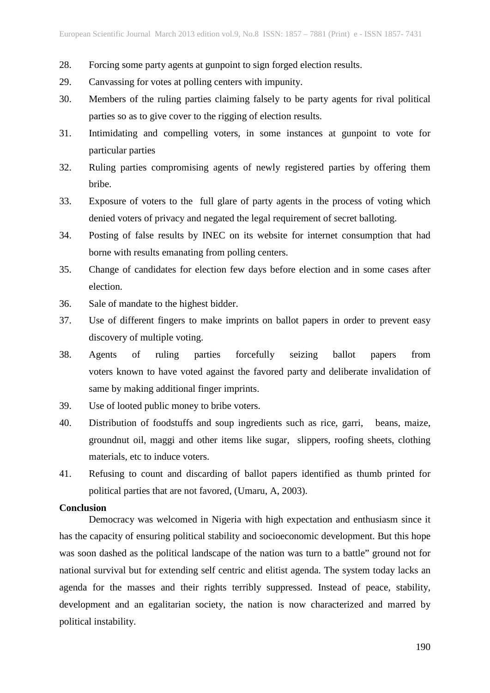- 28. Forcing some party agents at gunpoint to sign forged election results.
- 29. Canvassing for votes at polling centers with impunity.
- 30. Members of the ruling parties claiming falsely to be party agents for rival political parties so as to give cover to the rigging of election results.
- 31. Intimidating and compelling voters, in some instances at gunpoint to vote for particular parties
- 32. Ruling parties compromising agents of newly registered parties by offering them bribe.
- 33. Exposure of voters to the full glare of party agents in the process of voting which denied voters of privacy and negated the legal requirement of secret balloting.
- 34. Posting of false results by INEC on its website for internet consumption that had borne with results emanating from polling centers.
- 35. Change of candidates for election few days before election and in some cases after election.
- 36. Sale of mandate to the highest bidder.
- 37. Use of different fingers to make imprints on ballot papers in order to prevent easy discovery of multiple voting.
- 38. Agents of ruling parties forcefully seizing ballot papers from voters known to have voted against the favored party and deliberate invalidation of same by making additional finger imprints.
- 39. Use of looted public money to bribe voters.
- 40. Distribution of foodstuffs and soup ingredients such as rice, garri, beans, maize, groundnut oil, maggi and other items like sugar, slippers, roofing sheets, clothing materials, etc to induce voters.
- 41. Refusing to count and discarding of ballot papers identified as thumb printed for political parties that are not favored, (Umaru, A, 2003).

#### **Conclusion**

Democracy was welcomed in Nigeria with high expectation and enthusiasm since it has the capacity of ensuring political stability and socioeconomic development. But this hope was soon dashed as the political landscape of the nation was turn to a battle" ground not for national survival but for extending self centric and elitist agenda. The system today lacks an agenda for the masses and their rights terribly suppressed. Instead of peace, stability, development and an egalitarian society, the nation is now characterized and marred by political instability.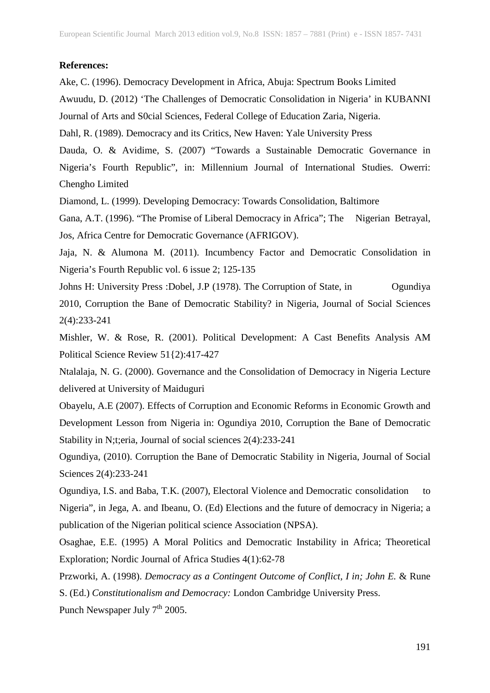#### **References:**

Ake, C. (1996). Democracy Development in Africa, Abuja: Spectrum Books Limited

Awuudu, D. (2012) 'The Challenges of Democratic Consolidation in Nigeria' in KUBANNI Journal of Arts and S0cial Sciences, Federal College of Education Zaria, Nigeria.

Dahl, R. (1989). Democracy and its Critics, New Haven: Yale University Press

Dauda, O. & Avidime, S. (2007) "Towards a Sustainable Democratic Governance in Nigeria's Fourth Republic", in: Millennium Journal of International Studies. Owerri: Chengho Limited

Diamond, L. (1999). Developing Democracy: Towards Consolidation, Baltimore

Gana, A.T. (1996). "The Promise of Liberal Democracy in Africa"; The Nigerian Betrayal, Jos, Africa Centre for Democratic Governance (AFRIGOV).

Jaja, N. & Alumona M. (2011). Incumbency Factor and Democratic Consolidation in Nigeria's Fourth Republic vol. 6 issue 2; 125-135

Johns H: University Press: Dobel, J.P (1978). The Corruption of State, in Ogundiya 2010, Corruption the Bane of Democratic Stability? in Nigeria, Journal of Social Sciences 2(4):233-241

Mishler, W. & Rose, R. (2001). Political Development: A Cast Benefits Analysis AM Political Science Review 51{2):417-427

Ntalalaja, N. G. (2000). Governance and the Consolidation of Democracy in Nigeria Lecture delivered at University of Maiduguri

Obayelu, A.E (2007). Effects of Corruption and Economic Reforms in Economic Growth and Development Lesson from Nigeria in: Ogundiya 2010, Corruption the Bane of Democratic Stability in N;t;eria, Journal of social sciences 2(4):233-241

Ogundiya, (2010). Corruption the Bane of Democratic Stability in Nigeria, Journal of Social Sciences 2(4):233-241

Ogundiya, I.S. and Baba, T.K. (2007), Electoral Violence and Democratic consolidation to Nigeria", in Jega, A. and Ibeanu, O. (Ed) Elections and the future of democracy in Nigeria; a publication of the Nigerian political science Association (NPSA).

Osaghae, E.E. (1995) A Moral Politics and Democratic Instability in Africa; Theoretical Exploration; Nordic Journal of Africa Studies 4(1):62-78

Przworki, A. (1998). *Democracy as a Contingent Outcome of Conflict, I in; John E.* & Rune S. (Ed.) *Constitutionalism and Democracy:* London Cambridge University Press.

Punch Newspaper July  $7<sup>th</sup> 2005$ .